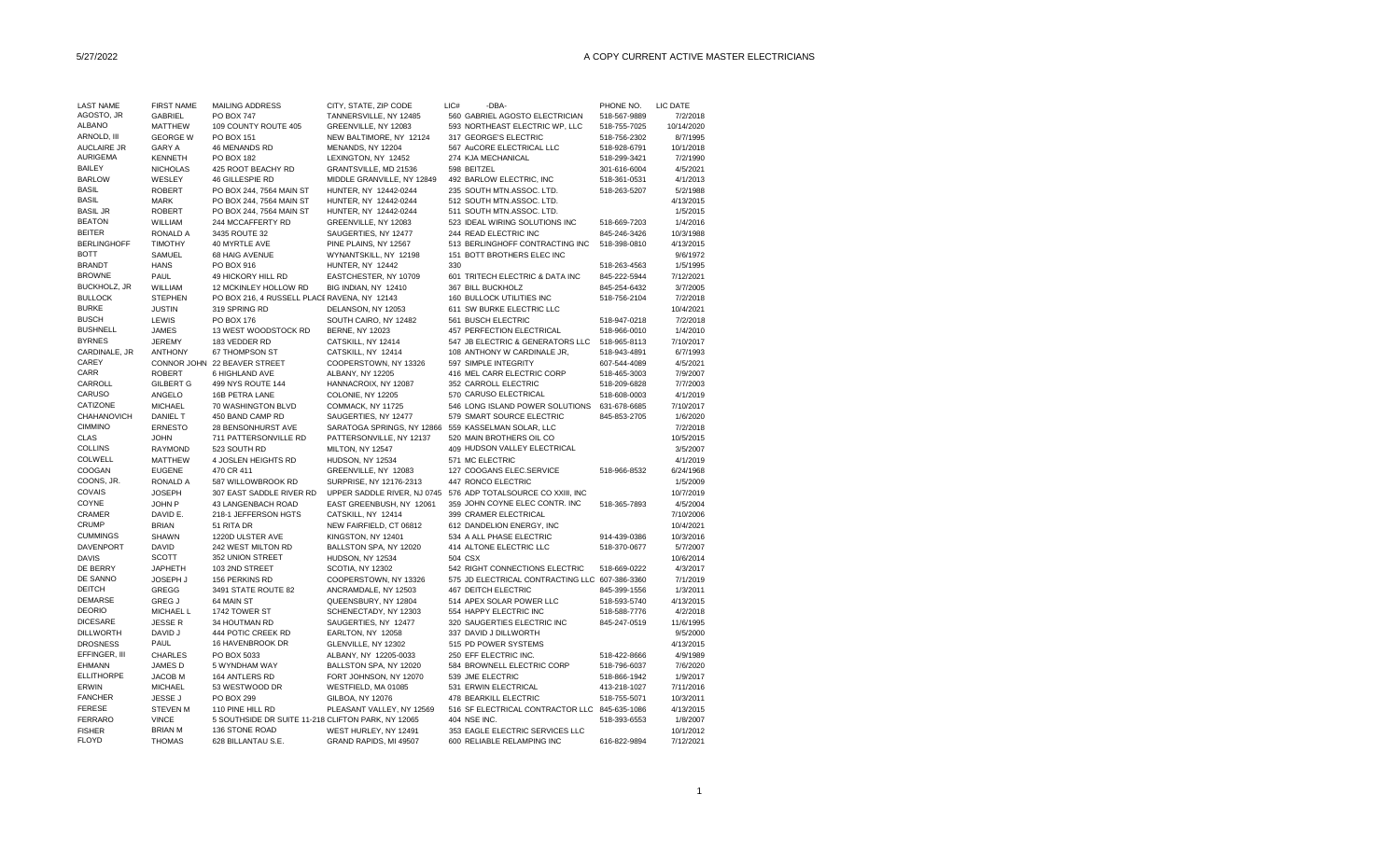## 5/27/2022 A COPY CURRENT ACTIVE MASTER ELECTRICIANS

| <b>LAST NAME</b>     |                               |                                                    |                                              | LIC# |                                                          |              |                       |
|----------------------|-------------------------------|----------------------------------------------------|----------------------------------------------|------|----------------------------------------------------------|--------------|-----------------------|
| AGOSTO, JR           | <b>FIRST NAME</b>             | MAILING ADDRESS                                    | CITY, STATE, ZIP CODE                        |      | -DBA-                                                    | PHONE NO.    | LIC DATE              |
|                      | GABRIEL                       | <b>PO BOX 747</b>                                  | TANNERSVILLE, NY 12485                       |      | 560 GABRIEL AGOSTO ELECTRICIAN                           | 518-567-9889 | 7/2/2018              |
| <b>ALBANO</b>        | MATTHEW                       | 109 COUNTY ROUTE 405                               | GREENVILLE, NY 12083                         |      | 593 NORTHEAST ELECTRIC WP, LLC                           | 518-755-7025 | 10/14/2020            |
| ARNOLD, III          | <b>GEORGE W</b>               | PO BOX 151                                         | NEW BALTIMORE, NY 12124                      |      | 317 GEORGE'S ELECTRIC                                    | 518-756-2302 | 8/7/1995              |
| <b>AUCLAIRE JR</b>   | <b>GARY A</b>                 | 46 MENANDS RD                                      | MENANDS, NY 12204                            |      | 567 AuCORE ELECTRICAL LLC                                | 518-928-6791 | 10/1/2018             |
| <b>AURIGEMA</b>      | <b>KENNETH</b>                | PO BOX 182                                         | LEXINGTON, NY 12452                          |      | 274 KJA MECHANICAL                                       | 518-299-3421 | 7/2/1990              |
| <b>BAILEY</b>        | <b>NICHOLAS</b>               | 425 ROOT BEACHY RD                                 | GRANTSVILLE, MD 21536                        |      | 598 BEITZEL                                              | 301-616-6004 | 4/5/2021              |
| <b>BARLOW</b>        | WESLEY                        | 46 GILLESPIE RD                                    | MIDDLE GRANVILLE, NY 12849                   |      | 492 BARLOW ELECTRIC, INC                                 | 518-361-0531 | 4/1/2013              |
| <b>BASIL</b>         | <b>ROBERT</b>                 | PO BOX 244, 7564 MAIN ST                           | HUNTER, NY 12442-0244                        |      | 235 SOUTH MTN.ASSOC. LTD.                                | 518-263-5207 | 5/2/1988              |
| <b>BASIL</b>         | <b>MARK</b>                   | PO BOX 244, 7564 MAIN ST                           | HUNTER, NY 12442-0244                        |      | 512 SOUTH MTN.ASSOC. LTD.                                |              | 4/13/2015             |
| <b>BASIL JR</b>      | <b>ROBERT</b>                 | PO BOX 244, 7564 MAIN ST                           | HUNTER, NY 12442-0244                        |      | 511 SOUTH MTN.ASSOC. LTD.                                |              | 1/5/2015              |
| <b>BEATON</b>        | WILLIAM                       | 244 MCCAFFERTY RD                                  | GREENVILLE, NY 12083                         |      | 523 IDEAL WIRING SOLUTIONS INC                           | 518-669-7203 | 1/4/2016              |
| <b>BEITER</b>        | <b>RONALD A</b>               | 3435 ROUTE 32                                      | SAUGERTIES, NY 12477                         |      | 244 READ ELECTRIC INC                                    | 845-246-3426 | 10/3/1988             |
| <b>BERLINGHOFF</b>   | <b>TIMOTHY</b>                | 40 MYRTLE AVE                                      | PINE PLAINS, NY 12567                        |      | 513 BERLINGHOFF CONTRACTING INC                          | 518-398-0810 | 4/13/2015             |
| <b>BOTT</b>          | SAMUEL                        | 68 HAIG AVENUE                                     | WYNANTSKILL, NY 12198                        |      | 151 BOTT BROTHERS ELEC INC                               |              | 9/6/1972              |
| <b>BRANDT</b>        | <b>HANS</b>                   | PO BOX 916                                         | HUNTER, NY 12442                             |      | 330                                                      | 518-263-4563 | 1/5/1995              |
| <b>BROWNE</b>        | PAUL                          | 49 HICKORY HILL RD                                 | EASTCHESTER, NY 10709                        |      | 601 TRITECH ELECTRIC & DATA INC                          | 845-222-5944 | 7/12/2021             |
| <b>BUCKHOLZ, JR</b>  | WILLIAM                       | 12 MCKINLEY HOLLOW RD                              | BIG INDIAN, NY 12410                         |      | 367 BILL BUCKHOLZ                                        | 845-254-6432 | 3/7/2005              |
| <b>BULLOCK</b>       | <b>STEPHEN</b>                | PO BOX 216, 4 RUSSELL PLACE RAVENA, NY 12143       |                                              |      | 160 BULLOCK UTILITIES INC                                | 518-756-2104 | 7/2/2018              |
| <b>BURKE</b>         | <b>JUSTIN</b>                 | 319 SPRING RD                                      | DELANSON, NY 12053                           |      | 611 SW BURKE ELECTRIC LLC                                |              | 10/4/2021             |
| <b>BUSCH</b>         | LEWIS                         | PO BOX 176                                         | SOUTH CAIRO, NY 12482                        |      | 561 BUSCH ELECTRIC                                       | 518-947-0218 | 7/2/2018              |
| <b>BUSHNELL</b>      | <b>JAMES</b>                  | 13 WEST WOODSTOCK RD                               | <b>BERNE, NY 12023</b>                       |      | 457 PERFECTION ELECTRICAL                                | 518-966-0010 | 1/4/2010              |
| <b>BYRNES</b>        | <b>JEREMY</b>                 | 183 VEDDER RD                                      | CATSKILL, NY 12414                           |      | 547 JB ELECTRIC & GENERATORS LLC                         | 518-965-8113 | 7/10/2017             |
| CARDINALE, JR        | <b>ANTHONY</b>                | 67 THOMPSON ST                                     | CATSKILL, NY 12414                           |      | 108 ANTHONY W CARDINALE JR,                              | 518-943-4891 | 6/7/1993              |
| CAREY                |                               | CONNOR JOHN 22 BEAVER STREET                       | COOPERSTOWN, NY 13326                        |      | 597 SIMPLE INTEGRITY                                     | 607-544-4089 | 4/5/2021              |
| CARR                 | <b>ROBERT</b>                 | 6 HIGHLAND AVE                                     | ALBANY, NY 12205                             |      | 416 MEL CARR ELECTRIC CORP                               | 518-465-3003 | 7/9/2007              |
| CARROLL              | <b>GILBERT G</b>              | 499 NYS ROUTE 144                                  | HANNACROIX, NY 12087                         |      | 352 CARROLL ELECTRIC                                     | 518-209-6828 | 7/7/2003              |
| CARUSO               | ANGELO                        | 16B PETRA LANE                                     | COLONIE, NY 12205                            |      | 570 CARUSO ELECTRICAL                                    | 518-608-0003 | 4/1/2019              |
| CATIZONE             | <b>MICHAEL</b>                | 70 WASHINGTON BLVD                                 | COMMACK, NY 11725                            |      | 546 LONG ISLAND POWER SOLUTIONS                          | 631-678-6685 | 7/10/2017             |
| CHAHANOVICH          | <b>DANIEL T</b>               | 450 BAND CAMP RD                                   | SAUGERTIES, NY 12477                         |      | 579 SMART SOURCE ELECTRIC                                | 845-853-2705 | 1/6/2020              |
| <b>CIMMINO</b>       | <b>ERNESTO</b>                | 28 BENSONHURST AVE                                 | SARATOGA SPRINGS, NY 12866                   |      | 559 KASSELMAN SOLAR, LLC                                 |              | 7/2/2018              |
| <b>CLAS</b>          |                               |                                                    |                                              |      |                                                          |              |                       |
| <b>COLLINS</b>       | <b>JOHN</b><br><b>RAYMOND</b> | 711 PATTERSONVILLE RD<br>523 SOUTH RD              | PATTERSONVILLE, NY 12137<br>MILTON, NY 12547 |      | 520 MAIN BROTHERS OIL CO<br>409 HUDSON VALLEY ELECTRICAL |              | 10/5/2015<br>3/5/2007 |
| COLWELL              |                               |                                                    |                                              |      |                                                          |              |                       |
|                      | <b>MATTHEW</b>                | 4 JOSLEN HEIGHTS RD                                | HUDSON, NY 12534                             |      | 571 MC ELECTRIC                                          |              | 4/1/2019              |
| COOGAN<br>COONS, JR. | <b>EUGENE</b>                 | 470 CR 411                                         | GREENVILLE, NY 12083                         |      | 127 COOGANS ELEC.SERVICE                                 | 518-966-8532 | 6/24/1968             |
|                      | <b>RONALD A</b>               | 587 WILLOWBROOK RD                                 | SURPRISE, NY 12176-2313                      |      | 447 RONCO ELECTRIC                                       |              | 1/5/2009              |
| COVAIS               | <b>JOSEPH</b>                 | 307 EAST SADDLE RIVER RD                           | UPPER SADDLE RIVER, NJ 0745                  |      | 576 ADP TOTALSOURCE CO XXIII, INC                        |              | 10/7/2019             |
| COYNE                | JOHN P                        | 43 LANGENBACH ROAD                                 | EAST GREENBUSH, NY 12061                     |      | 359 JOHN COYNE ELEC CONTR. INC                           | 518-365-7893 | 4/5/2004              |
| CRAMER               | DAVID E.                      | 218-1 JEFFERSON HGTS                               | CATSKILL, NY 12414                           |      | 399 CRAMER ELECTRICAL                                    |              | 7/10/2006             |
| <b>CRUMP</b>         | <b>BRIAN</b>                  | 51 RITA DR                                         | NEW FAIRFIELD, CT 06812                      |      | 612 DANDELION ENERGY, INC                                |              | 10/4/2021             |
| <b>CUMMINGS</b>      | <b>SHAWN</b>                  | 1220D ULSTER AVE                                   | KINGSTON, NY 12401                           |      | 534 A ALL PHASE ELECTRIC                                 | 914-439-0386 | 10/3/2016             |
| <b>DAVENPORT</b>     | <b>DAVID</b>                  | 242 WEST MILTON RD                                 | BALLSTON SPA, NY 12020                       |      | 414 ALTONE ELECTRIC LLC                                  | 518-370-0677 | 5/7/2007              |
| <b>DAVIS</b>         | <b>SCOTT</b>                  | 352 UNION STREET                                   | HUDSON, NY 12534                             |      | 504 CSX                                                  |              | 10/6/2014             |
| DE BERRY             | <b>JAPHETH</b>                | 103 2ND STREET                                     | SCOTIA, NY 12302                             |      | 542 RIGHT CONNECTIONS ELECTRIC                           | 518-669-0222 | 4/3/2017              |
| DE SANNO             | JOSEPH J                      | 156 PERKINS RD                                     | COOPERSTOWN, NY 13326                        |      | 575 JD ELECTRICAL CONTRACTING LLC 607-386-3360           |              | 7/1/2019              |
| DEITCH               | <b>GREGG</b>                  | 3491 STATE ROUTE 82                                | ANCRAMDALE, NY 12503                         |      | <b>467 DEITCH ELECTRIC</b>                               | 845-399-1556 | 1/3/2011              |
| <b>DEMARSE</b>       | <b>GREG J</b>                 | 64 MAIN ST                                         | QUEENSBURY, NY 12804                         |      | 514 APEX SOLAR POWER LLC                                 | 518-593-5740 | 4/13/2015             |
| <b>DEORIO</b>        | MICHAEL L                     | 1742 TOWER ST                                      | SCHENECTADY, NY 12303                        |      | 554 HAPPY ELECTRIC INC                                   | 518-588-7776 | 4/2/2018              |
| <b>DICESARE</b>      | <b>JESSE R</b>                | 34 HOUTMAN RD                                      | SAUGERTIES, NY 12477                         |      | 320 SAUGERTIES ELECTRIC INC                              | 845-247-0519 | 11/6/1995             |
| <b>DILLWORTH</b>     | DAVID J                       | 444 POTIC CREEK RD                                 | EARLTON, NY 12058                            |      | 337 DAVID J DILLWORTH                                    |              | 9/5/2000              |
| <b>DROSNESS</b>      | PAUL                          | 16 HAVENBROOK DR                                   | GLENVILLE, NY 12302                          |      | 515 PD POWER SYSTEMS                                     |              | 4/13/2015             |
| EFFINGER, III        | <b>CHARLES</b>                | PO BOX 5033                                        | ALBANY, NY 12205-0033                        |      | 250 EFF ELECTRIC INC.                                    | 518-422-8666 | 4/9/1989              |
| <b>EHMANN</b>        | JAMES D                       | 5 WYNDHAM WAY                                      | BALLSTON SPA, NY 12020                       |      | 584 BROWNELL ELECTRIC CORP                               | 518-796-6037 | 7/6/2020              |
| <b>ELLITHORPE</b>    | <b>JACOB M</b>                | 164 ANTLERS RD                                     | FORT JOHNSON, NY 12070                       |      | 539 JME ELECTRIC                                         | 518-866-1942 | 1/9/2017              |
| ERWIN                | <b>MICHAEL</b>                | 53 WESTWOOD DR                                     | WESTFIELD, MA 01085                          |      | 531 ERWIN ELECTRICAL                                     | 413-218-1027 | 7/11/2016             |
| <b>FANCHER</b>       | <b>JESSE J</b>                | PO BOX 299                                         | GILBOA, NY 12076                             |      | 478 BEARKILL ELECTRIC                                    | 518-755-5071 | 10/3/2011             |
| <b>FERESE</b>        | <b>STEVEN M</b>               | 110 PINE HILL RD                                   | PLEASANT VALLEY, NY 12569                    |      | 516 SF ELECTRICAL CONTRACTOR LLC                         | 845-635-1086 | 4/13/2015             |
| <b>FERRARO</b>       | <b>VINCE</b>                  | 5 SOUTHSIDE DR SUITE 11-218 CLIFTON PARK, NY 12065 |                                              |      | 404 NSE INC.                                             | 518-393-6553 | 1/8/2007              |
| <b>FISHER</b>        | <b>BRIAN M</b>                | 136 STONE ROAD                                     | WEST HURLEY, NY 12491                        |      | 353 EAGLE ELECTRIC SERVICES LLC                          |              | 10/1/2012             |
| <b>FLOYD</b>         | <b>THOMAS</b>                 | 628 BILLANTAU S.E.                                 | GRAND RAPIDS, MI 49507                       |      | 600 RELIABLE RELAMPING INC                               | 616-822-9894 | 7/12/2021             |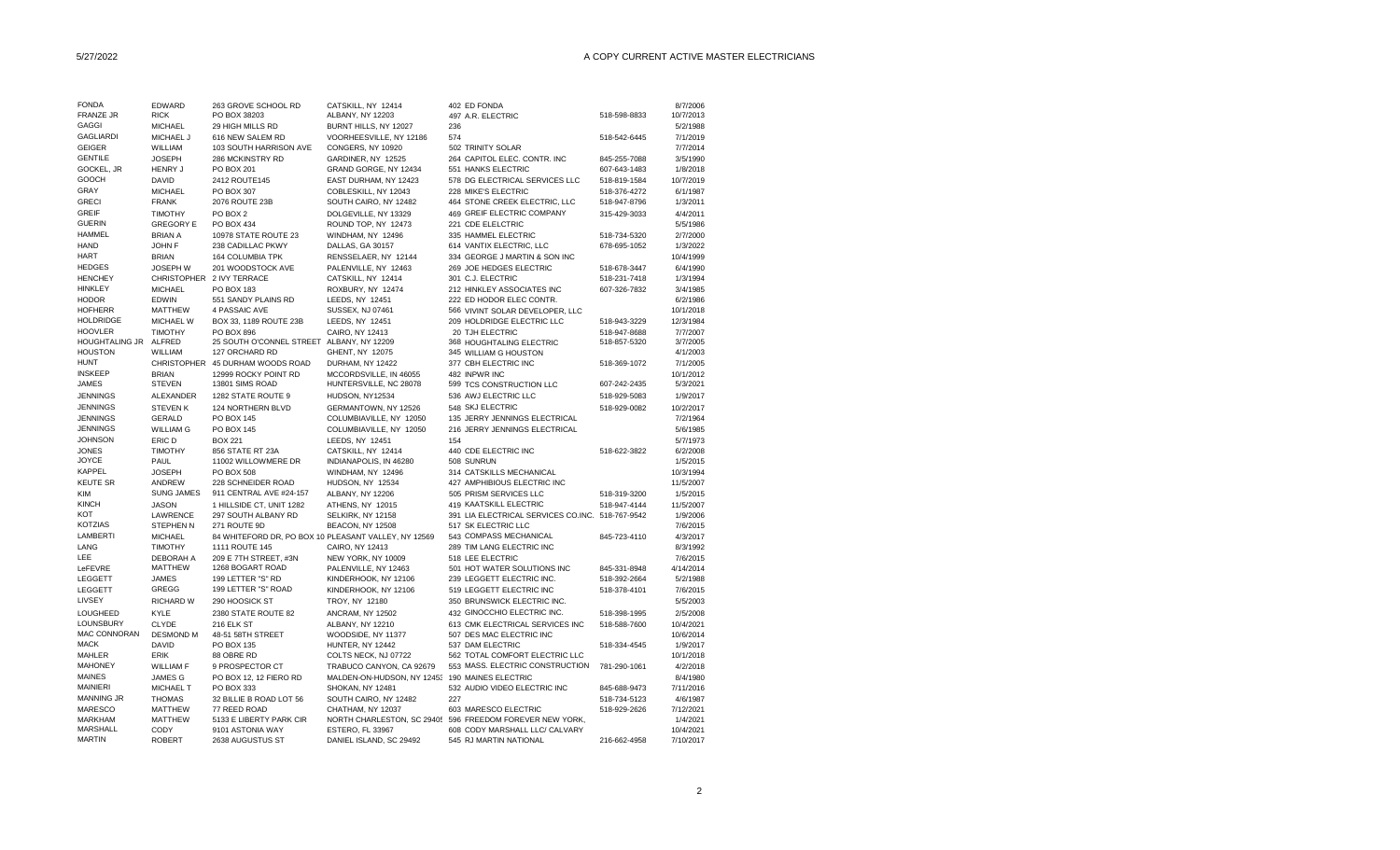| <b>FONDA</b>              | EDWARD                | 263 GROVE SCHOOL RD                                  | CATSKILL, NY 12414                             | 402 ED FONDA                                             |              | 8/7/2006               |
|---------------------------|-----------------------|------------------------------------------------------|------------------------------------------------|----------------------------------------------------------|--------------|------------------------|
| <b>FRANZE JR</b>          | <b>RICK</b>           | PO BOX 38203                                         | ALBANY, NY 12203                               | 497 A.R. ELECTRIC                                        | 518-598-8833 | 10/7/2013              |
| <b>GAGGI</b>              | <b>MICHAEL</b>        | 29 HIGH MILLS RD                                     | BURNT HILLS, NY 12027                          | 236                                                      |              | 5/2/1988               |
| <b>GAGLIARDI</b>          | MICHAEL J             | 616 NEW SALEM RD                                     | VOORHEESVILLE, NY 12186                        | 574                                                      | 518-542-6445 | 7/1/2019               |
| <b>GEIGER</b>             | WILLIAM               | 103 SOUTH HARRISON AVE                               | CONGERS, NY 10920                              | 502 TRINITY SOLAR                                        |              | 7/7/2014               |
| <b>GENTILE</b>            | <b>JOSEPH</b>         | 286 MCKINSTRY RD                                     | GARDINER, NY 12525                             | 264 CAPITOL ELEC. CONTR. INC                             | 845-255-7088 | 3/5/1990               |
| GOCKEL, JR                | <b>HENRY J</b>        | PO BOX 201                                           | GRAND GORGE, NY 12434                          | 551 HANKS ELECTRIC                                       | 607-643-1483 | 1/8/2018               |
| GOOCH                     | <b>DAVID</b>          | 2412 ROUTE145                                        | EAST DURHAM, NY 12423                          | 578 DG ELECTRICAL SERVICES LLC                           | 518-819-1584 | 10/7/2019              |
| <b>GRAY</b>               | <b>MICHAEL</b>        | PO BOX 307                                           | COBLESKILL, NY 12043                           | 228 MIKE'S ELECTRIC                                      | 518-376-4272 | 6/1/1987               |
| <b>GRECI</b>              |                       |                                                      |                                                |                                                          |              |                        |
|                           | <b>FRANK</b>          | 2076 ROUTE 23B                                       | SOUTH CAIRO, NY 12482                          | 464 STONE CREEK ELECTRIC, LLC                            | 518-947-8796 | 1/3/2011               |
| <b>GREIF</b>              | <b>TIMOTHY</b>        | PO BOX 2                                             | DOLGEVILLE, NY 13329                           | 469 GREIF ELECTRIC COMPANY                               | 315-429-3033 | 4/4/2011               |
| <b>GUERIN</b>             | <b>GREGORY E</b>      | PO BOX 434                                           | ROUND TOP, NY 12473                            | 221 CDE ELELCTRIC                                        |              | 5/5/1986               |
| <b>HAMMEL</b>             | <b>BRIAN A</b>        | 10978 STATE ROUTE 23                                 | WINDHAM, NY 12496                              | 335 HAMMEL ELECTRIC                                      | 518-734-5320 | 2/7/2000               |
| <b>HAND</b>               | JOHN F                | 238 CADILLAC PKWY                                    | DALLAS, GA 30157                               | 614 VANTIX ELECTRIC, LLC                                 | 678-695-1052 | 1/3/2022               |
| <b>HART</b>               | <b>BRIAN</b>          | <b>164 COLUMBIA TPK</b>                              | RENSSELAER, NY 12144                           | 334 GEORGE J MARTIN & SON INC                            |              | 10/4/1999              |
| <b>HEDGES</b>             | <b>JOSEPH W</b>       | 201 WOODSTOCK AVE                                    | PALENVILLE, NY 12463                           | 269 JOE HEDGES ELECTRIC                                  | 518-678-3447 | 6/4/1990               |
| <b>HENCHEY</b>            |                       | CHRISTOPHER 2 IVY TERRACE                            | CATSKILL, NY 12414                             | 301 C.J. ELECTRIC                                        | 518-231-7418 | 1/3/1994               |
| <b>HINKLEY</b>            | <b>MICHAEL</b>        | PO BOX 183                                           | ROXBURY, NY 12474                              | 212 HINKLEY ASSOCIATES INC                               | 607-326-7832 | 3/4/1985               |
| <b>HODOR</b>              | EDWIN                 | 551 SANDY PLAINS RD                                  | LEEDS, NY 12451                                | 222 ED HODOR ELEC CONTR.                                 |              | 6/2/1986               |
| <b>HOFHERR</b>            | <b>MATTHEW</b>        | 4 PASSAIC AVE                                        | SUSSEX, NJ 07461                               | 566 VIVINT SOLAR DEVELOPER, LLC                          |              | 10/1/2018              |
| <b>HOLDRIDGE</b>          | MICHAEL W             | BOX 33, 1189 ROUTE 23B                               | LEEDS, NY 12451                                | 209 HOLDRIDGE ELECTRIC LLC                               | 518-943-3229 | 12/3/1984              |
| <b>HOOVLER</b>            | <b>TIMOTHY</b>        | PO BOX 896                                           | CAIRO, NY 12413                                | 20 TJH ELECTRIC                                          | 518-947-8688 | 7/7/2007               |
| <b>HOUGHTALING JR</b>     | ALFRED                | 25 SOUTH O'CONNEL STREET ALBANY, NY 12209            |                                                | 368 HOUGHTALING ELECTRIC                                 | 518-857-5320 | 3/7/2005               |
| <b>HOUSTON</b>            | WILLIAM               | 127 ORCHARD RD                                       | GHENT, NY 12075                                | 345 WILLIAM G HOUSTON                                    |              | 4/1/2003               |
| <b>HUNT</b>               |                       | CHRISTOPHER 45 DURHAM WOODS ROAD                     | DURHAM, NY 12422                               | 377 CBH ELECTRIC INC                                     | 518-369-1072 | 7/1/2005               |
| <b>INSKEEP</b>            | <b>BRIAN</b>          | 12999 ROCKY POINT RD                                 | MCCORDSVILLE, IN 46055                         | 482 INPWR INC                                            |              | 10/1/2012              |
| <b>JAMES</b>              |                       |                                                      |                                                |                                                          |              |                        |
|                           | <b>STEVEN</b>         | 13801 SIMS ROAD                                      | HUNTERSVILLE, NC 28078                         | 599 TCS CONSTRUCTION LLC                                 | 607-242-2435 | 5/3/2021               |
| <b>JENNINGS</b>           | <b>ALEXANDER</b>      | 1282 STATE ROUTE 9                                   | HUDSON, NY12534                                | 536 AWJ ELECTRIC LLC                                     | 518-929-5083 | 1/9/2017               |
| <b>JENNINGS</b>           | <b>STEVEN K</b>       | 124 NORTHERN BLVD                                    | GERMANTOWN, NY 12526                           | 548 SKJ ELECTRIC                                         | 518-929-0082 | 10/2/2017              |
| <b>JENNINGS</b>           | <b>GERALD</b>         | PO BOX 145                                           | COLUMBIAVILLE, NY 12050                        | 135 JERRY JENNINGS ELECTRICAL                            |              | 7/2/1964               |
| <b>JENNINGS</b>           | <b>WILLIAM G</b>      | PO BOX 145                                           | COLUMBIAVILLE, NY 12050                        | 216 JERRY JENNINGS ELECTRICAL                            |              | 5/6/1985               |
| <b>JOHNSON</b>            | ERIC D                | <b>BOX 221</b>                                       | LEEDS, NY 12451                                | 154                                                      |              | 5/7/1973               |
| <b>JONES</b>              | <b>TIMOTHY</b>        | 856 STATE RT 23A                                     | CATSKILL, NY 12414                             | 440 CDE ELECTRIC INC                                     | 518-622-3822 | 6/2/2008               |
| <b>JOYCE</b>              | PAUL                  | 11002 WILLOWMERE DR                                  | INDIANAPOLIS, IN 46280                         | 508 SUNRUN                                               |              | 1/5/2015               |
| <b>KAPPEL</b>             | <b>JOSEPH</b>         | PO BOX 508                                           | WINDHAM, NY 12496                              | 314 CATSKILLS MECHANICAL                                 |              | 10/3/1994              |
| <b>KEUTE SR</b>           | <b>ANDREW</b>         | 228 SCHNEIDER ROAD                                   | HUDSON, NY 12534                               | 427 AMPHIBIOUS ELECTRIC INC                              |              | 11/5/2007              |
|                           |                       |                                                      |                                                | 505 PRISM SERVICES LLC                                   |              | 1/5/2015               |
|                           |                       |                                                      |                                                |                                                          |              | 11/5/2007              |
| KIM                       | <b>SUNG JAMES</b>     | 911 CENTRAL AVE #24-157                              | ALBANY, NY 12206                               |                                                          | 518-319-3200 |                        |
| <b>KINCH</b>              | <b>JASON</b>          | 1 HILLSIDE CT, UNIT 1282                             | ATHENS, NY 12015                               | 419 KAATSKILL ELECTRIC                                   | 518-947-4144 |                        |
| KOT                       | LAWRENCE              | 297 SOUTH ALBANY RD                                  | SELKIRK, NY 12158                              | 391 LIA ELECTRICAL SERVICES CO.INC. 518-767-9542         |              | 1/9/2006               |
| <b>KOTZIAS</b>            | STEPHEN N             | 271 ROUTE 9D                                         | BEACON, NY 12508                               | 517 SK ELECTRIC LLC                                      |              | 7/6/2015               |
| LAMBERTI                  | <b>MICHAEL</b>        | 84 WHITEFORD DR, PO BOX 10 PLEASANT VALLEY, NY 12569 |                                                | 543 COMPASS MECHANICAL                                   | 845-723-4110 | 4/3/2017               |
| LANG                      | <b>TIMOTHY</b>        | 1111 ROUTE 145                                       | CAIRO, NY 12413                                | 289 TIM LANG ELECTRIC INC                                |              | 8/3/1992               |
| LEE                       | <b>DEBORAH A</b>      | 209 E 7TH STREET, #3N                                | NEW YORK, NY 10009                             | 518 LEE ELECTRIC                                         |              | 7/6/2015               |
| LeFEVRE                   | MATTHEW               | 1268 BOGART ROAD                                     | PALENVILLE, NY 12463                           | 501 HOT WATER SOLUTIONS INC                              | 845-331-8948 | 4/14/2014              |
| LEGGETT                   | <b>JAMES</b>          | 199 LETTER "S" RD                                    | KINDERHOOK, NY 12106                           | 239 LEGGETT ELECTRIC INC.                                | 518-392-2664 | 5/2/1988               |
| <b>LEGGETT</b>            | GREGG                 | 199 LETTER "S" ROAD                                  | KINDERHOOK, NY 12106                           | 519 LEGGETT ELECTRIC INC                                 | 518-378-4101 | 7/6/2015               |
| LIVSEY                    | RICHARD W             | 290 HOOSICK ST                                       | TROY, NY 12180                                 | 350 BRUNSWICK ELECTRIC INC.                              |              | 5/5/2003               |
| LOUGHEED                  | KYLE                  | 2380 STATE ROUTE 82                                  | ANCRAM, NY 12502                               | 432 GINOCCHIO ELECTRIC INC.                              | 518-398-1995 | 2/5/2008               |
|                           |                       |                                                      |                                                |                                                          |              |                        |
| LOUNSBURY<br>MAC CONNORAN | <b>CLYDE</b>          | 216 ELK ST                                           | ALBANY, NY 12210                               | 613 CMK ELECTRICAL SERVICES INC                          | 518-588-7600 | 10/4/2021              |
|                           | <b>DESMOND M</b>      | 48-51 58TH STREET                                    | WOODSIDE, NY 11377                             | 507 DES MAC ELECTRIC INC                                 |              | 10/6/2014              |
| <b>MACK</b>               | <b>DAVID</b>          | PO BOX 135                                           | HUNTER, NY 12442                               | 537 DAM ELECTRIC                                         | 518-334-4545 | 1/9/2017               |
| MAHLER                    | ERIK                  | 88 OBRE RD                                           | COLTS NECK, NJ 07722                           | 562 TOTAL COMFORT ELECTRIC LLC                           |              | 10/1/2018              |
| <b>MAHONEY</b>            | <b>WILLIAM F</b>      | 9 PROSPECTOR CT                                      | TRABUCO CANYON, CA 92679                       | 553 MASS. ELECTRIC CONSTRUCTION                          | 781-290-1061 | 4/2/2018               |
| <b>MAINES</b>             | <b>JAMES G</b>        | PO BOX 12, 12 FIERO RD                               | MALDEN-ON-HUDSON, NY 12453 190 MAINES ELECTRIC |                                                          |              | 8/4/1980               |
| <b>MAINIERI</b>           | MICHAEL T             | PO BOX 333                                           | SHOKAN, NY 12481                               | 532 AUDIO VIDEO ELECTRIC INC                             | 845-688-9473 | 7/11/2016              |
| <b>MANNING JR</b>         | <b>THOMAS</b>         | 32 BILLIE B ROAD LOT 56                              | SOUTH CAIRO, NY 12482                          | 227                                                      | 518-734-5123 | 4/6/1987               |
| <b>MARESCO</b>            | MATTHEW               | 77 REED ROAD                                         | CHATHAM, NY 12037                              | 603 MARESCO ELECTRIC                                     | 518-929-2626 | 7/12/2021              |
| <b>MARKHAM</b>            | <b>MATTHEW</b>        | 5133 E LIBERTY PARK CIR                              |                                                | NORTH CHARLESTON, SC 2940! 596 FREEDOM FOREVER NEW YORK, |              | 1/4/2021               |
| MARSHALL<br><b>MARTIN</b> | CODY<br><b>ROBERT</b> | 9101 ASTONIA WAY<br>2638 AUGUSTUS ST                 | ESTERO, FL 33967<br>DANIEL ISLAND, SC 29492    | 608 CODY MARSHALL LLC/ CALVARY<br>545 RJ MARTIN NATIONAL | 216-662-4958 | 10/4/2021<br>7/10/2017 |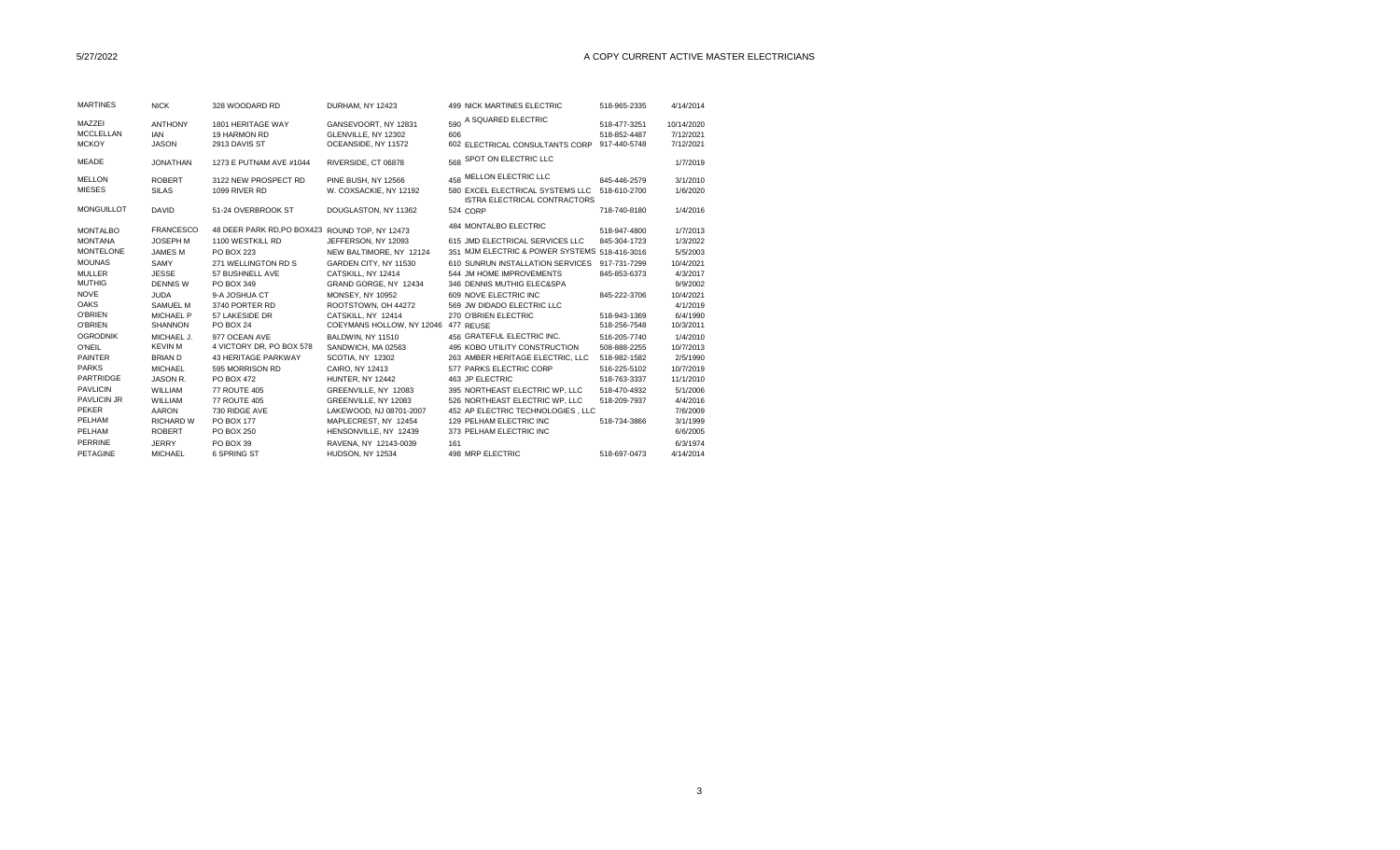| <b>MARTINES</b>                            | <b>NICK</b>                                  | 328 WOODARD RD                                     | DURHAM. NY 12423                                                   | 499 NICK MARTINES ELECTRIC                                                                         | 518-965-2335                                 | 4/14/2014                            |  |
|--------------------------------------------|----------------------------------------------|----------------------------------------------------|--------------------------------------------------------------------|----------------------------------------------------------------------------------------------------|----------------------------------------------|--------------------------------------|--|
| MAZZEI<br><b>MCCLELLAN</b><br><b>MCKOY</b> | <b>ANTHONY</b><br><b>IAN</b><br><b>JASON</b> | 1801 HERITAGE WAY<br>19 HARMON RD<br>2913 DAVIS ST | GANSEVOORT, NY 12831<br>GLENVILLE, NY 12302<br>OCEANSIDE, NY 11572 | 590 A SQUARED ELECTRIC<br>606<br>602 ELECTRICAL CONSULTANTS CORP                                   | 518-477-3251<br>518-852-4487<br>917-440-5748 | 10/14/2020<br>7/12/2021<br>7/12/2021 |  |
| <b>MEADE</b>                               | <b>JONATHAN</b>                              | 1273 E PUTNAM AVE #1044                            | RIVERSIDE, CT 06878                                                | 568 SPOT ON ELECTRIC LLC                                                                           |                                              | 1/7/2019                             |  |
| <b>MELLON</b><br><b>MIESES</b>             | <b>ROBERT</b><br><b>SILAS</b>                | 3122 NEW PROSPECT RD<br>1099 RIVER RD              | PINE BUSH, NY 12566<br>W. COXSACKIE, NY 12192                      | 458 MELLON ELECTRIC LLC<br>580 EXCEL ELECTRICAL SYSTEMS LLC<br><b>ISTRA ELECTRICAL CONTRACTORS</b> | 845-446-2579<br>518-610-2700                 | 3/1/2010<br>1/6/2020                 |  |
| <b>MONGUILLOT</b>                          | <b>DAVID</b>                                 | 51-24 OVERBROOK ST                                 | DOUGLASTON, NY 11362                                               | 524 CORP                                                                                           | 718-740-8180                                 | 1/4/2016                             |  |
| <b>MONTALBO</b>                            | <b>FRANCESCO</b>                             | 48 DEER PARK RD, PO BOX423 ROUND TOP, NY 12473     |                                                                    | 484 MONTALBO ELECTRIC                                                                              | 518-947-4800                                 | 1/7/2013                             |  |
| <b>MONTANA</b>                             | <b>JOSEPH M</b>                              | 1100 WESTKILL RD                                   | JEFFERSON, NY 12093                                                | 615 JMD ELECTRICAL SERVICES LLC                                                                    | 845-304-1723                                 | 1/3/2022                             |  |
| <b>MONTELONE</b>                           | <b>JAMES M</b>                               | <b>PO BOX 223</b>                                  | NEW BALTIMORE, NY 12124                                            | 351 MJM ELECTRIC & POWER SYSTEMS 518-416-3016                                                      |                                              | 5/5/2003                             |  |
| <b>MOUNAS</b>                              | SAMY                                         | 271 WELLINGTON RD S                                | GARDEN CITY, NY 11530                                              | 610 SUNRUN INSTALLATION SERVICES                                                                   | 917-731-7299                                 | 10/4/2021                            |  |
| <b>MULLER</b>                              | <b>JESSE</b>                                 | 57 BUSHNELL AVE                                    | CATSKILL. NY 12414                                                 | 544 JM HOME IMPROVEMENTS                                                                           | 845-853-6373                                 | 4/3/2017                             |  |
| <b>MUTHIG</b>                              | <b>DENNIS W</b>                              | PO BOX 349                                         | GRAND GORGE, NY 12434                                              | 346 DENNIS MUTHIG ELEC&SPA                                                                         |                                              | 9/9/2002                             |  |
| <b>NOVE</b>                                | <b>JUDA</b>                                  | 9-A JOSHUA CT                                      | <b>MONSEY, NY 10952</b>                                            | 609 NOVE ELECTRIC INC                                                                              | 845-222-3706                                 | 10/4/2021                            |  |
| <b>OAKS</b>                                | <b>SAMUEL M</b>                              | 3740 PORTER RD                                     | ROOTSTOWN, OH 44272                                                | 569 JW DIDADO ELECTRIC LLC                                                                         |                                              | 4/1/2019                             |  |
| <b>O'BRIEN</b>                             | <b>MICHAEL P</b>                             | 57 LAKESIDE DR                                     | CATSKILL, NY 12414                                                 | 270 O'BRIEN ELECTRIC                                                                               | 518-943-1369                                 | 6/4/1990                             |  |
| <b>O'BRIEN</b>                             | <b>SHANNON</b>                               | <b>PO BOX 24</b>                                   | COEYMANS HOLLOW, NY 12046 477 REUSE                                |                                                                                                    | 518-256-7548                                 | 10/3/2011                            |  |
| <b>OGRODNIK</b>                            | MICHAEL J.                                   | 977 OCEAN AVE                                      | BALDWIN, NY 11510                                                  | 456 GRATEFUL ELECTRIC INC.                                                                         | 516-205-7740                                 | 1/4/2010                             |  |
| O'NEIL                                     | <b>KEVIN M</b>                               | 4 VICTORY DR, PO BOX 578                           | SANDWICH, MA 02563                                                 | 495 KOBO UTILITY CONSTRUCTION                                                                      | 508-888-2255                                 | 10/7/2013                            |  |
| <b>PAINTER</b>                             | <b>BRIAND</b>                                | <b>43 HERITAGE PARKWAY</b>                         | SCOTIA, NY 12302                                                   | 263 AMBER HERITAGE ELECTRIC. LLC                                                                   | 518-982-1582                                 | 2/5/1990                             |  |
| <b>PARKS</b>                               | <b>MICHAEL</b>                               | 595 MORRISON RD                                    | CAIRO, NY 12413                                                    | 577 PARKS ELECTRIC CORP                                                                            | 516-225-5102                                 | 10/7/2019                            |  |
| <b>PARTRIDGE</b>                           | JASON R.                                     | PO BOX 472                                         | HUNTER, NY 12442                                                   | 463 JP ELECTRIC                                                                                    | 518-763-3337                                 | 11/1/2010                            |  |
| <b>PAVLICIN</b>                            | <b>WILLIAM</b>                               | <b>77 ROUTE 405</b>                                | GREENVILLE, NY 12083                                               | 395 NORTHEAST ELECTRIC WP. LLC                                                                     | 518-470-4932                                 | 5/1/2006                             |  |
| <b>PAVLICIN JR</b>                         | WILLIAM                                      | <b>77 ROUTE 405</b>                                | GREENVILLE, NY 12083                                               | 526 NORTHEAST ELECTRIC WP. LLC                                                                     | 518-209-7937                                 | 4/4/2016                             |  |
| <b>PEKER</b>                               | <b>AARON</b>                                 | 730 RIDGE AVE                                      | LAKEWOOD, NJ 08701-2007                                            | 452 AP ELECTRIC TECHNOLOGIES. LLC                                                                  |                                              | 7/6/2009                             |  |
| PELHAM                                     | <b>RICHARD W</b>                             | PO BOX 177                                         | MAPLECREST, NY 12454                                               | 129 PELHAM ELECTRIC INC                                                                            | 518-734-3866                                 | 3/1/1999                             |  |
| PELHAM                                     | <b>ROBERT</b>                                | PO BOX 250                                         | HENSONVILLE, NY 12439                                              | 373 PELHAM ELECTRIC INC                                                                            |                                              | 6/6/2005                             |  |
| <b>PERRINE</b>                             | <b>JERRY</b>                                 | PO BOX 39                                          | RAVENA, NY 12143-0039                                              | 161                                                                                                |                                              | 6/3/1974                             |  |
| PETAGINE                                   | <b>MICHAEL</b>                               | 6 SPRING ST                                        | HUDSON, NY 12534                                                   | 498 MRP ELECTRIC                                                                                   | 518-697-0473                                 | 4/14/2014                            |  |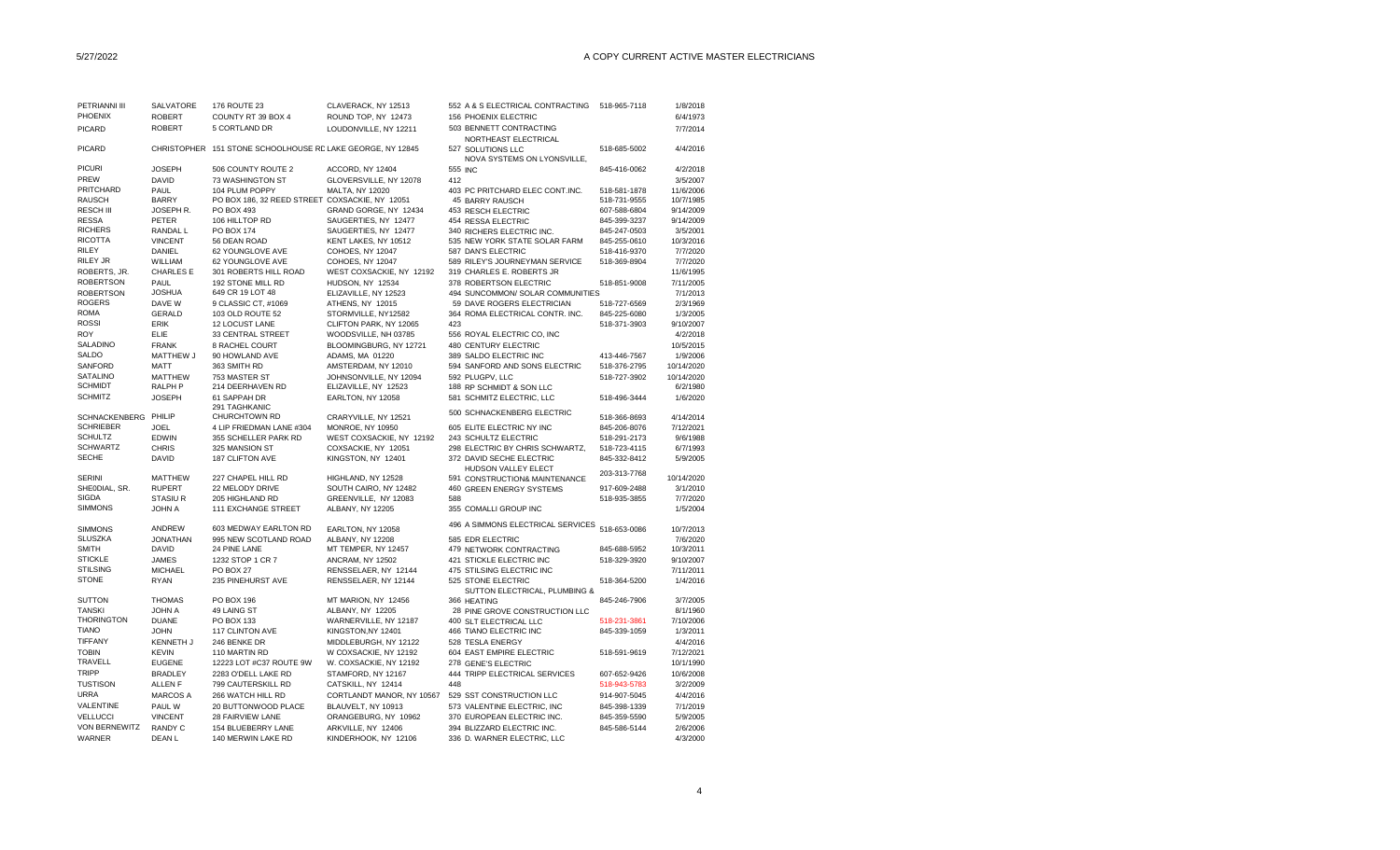| PETRIANNI III                    | SALVATORE         | 176 ROUTE 23                                               | CLAVERACK, NY 12513       |     | 552 A & S ELECTRICAL CONTRACTING                                         | 518-965-7118 | 1/8/2018              |
|----------------------------------|-------------------|------------------------------------------------------------|---------------------------|-----|--------------------------------------------------------------------------|--------------|-----------------------|
| PHOENIX                          | <b>ROBERT</b>     | COUNTY RT 39 BOX 4                                         | ROUND TOP, NY 12473       |     | 156 PHOENIX ELECTRIC                                                     |              | 6/4/1973              |
| <b>PICARD</b>                    | <b>ROBERT</b>     | 5 CORTLAND DR                                              | LOUDONVILLE, NY 12211     |     | 503 BENNETT CONTRACTING                                                  |              | 7/7/2014              |
| <b>PICARD</b>                    |                   | CHRISTOPHER 151 STONE SCHOOLHOUSE RD LAKE GEORGE, NY 12845 |                           |     | NORTHEAST ELECTRICAL<br>527 SOLUTIONS LLC<br>NOVA SYSTEMS ON LYONSVILLE, | 518-685-5002 | 4/4/2016              |
| <b>PICURI</b>                    | <b>JOSEPH</b>     | 506 COUNTY ROUTE 2                                         | ACCORD, NY 12404          |     | 555 INC                                                                  | 845-416-0062 | 4/2/2018              |
| PREW                             | <b>DAVID</b>      | 73 WASHINGTON ST                                           | GLOVERSVILLE, NY 12078    | 412 |                                                                          |              | 3/5/2007              |
| PRITCHARD                        | PAUL              | 104 PLUM POPPY                                             | MALTA, NY 12020           |     | 403 PC PRITCHARD ELEC CONT.INC.                                          | 518-581-1878 | 11/6/2006             |
| <b>RAUSCH</b>                    | <b>BARRY</b>      | PO BOX 186, 32 REED STREET COXSACKIE, NY 12051             |                           |     | 45 BARRY RAUSCH                                                          | 518-731-9555 | 10/7/1985             |
| <b>RESCH III</b>                 | JOSEPH R.         | PO BOX 493                                                 | GRAND GORGE, NY 12434     |     | 453 RESCH ELECTRIC                                                       | 607-588-6804 | 9/14/2009             |
| <b>RESSA</b>                     | PETER             | 106 HILLTOP RD                                             | SAUGERTIES, NY 12477      |     | 454 RESSA ELECTRIC                                                       | 845-399-3237 | 9/14/2009             |
| <b>RICHERS</b>                   | RANDAL L          | PO BOX 174                                                 | SAUGERTIES, NY 12477      |     | 340 RICHERS ELECTRIC INC.                                                | 845-247-0503 | 3/5/2001              |
| <b>RICOTTA</b>                   | <b>VINCENT</b>    | 56 DEAN ROAD                                               | KENT LAKES, NY 10512      |     | 535 NEW YORK STATE SOLAR FARM                                            | 845-255-0610 | 10/3/2016             |
| <b>RILEY</b>                     | DANIEL            | 62 YOUNGLOVE AVE                                           | COHOES, NY 12047          |     | 587 DAN'S ELECTRIC                                                       | 518-416-9370 | 7/7/2020              |
| RILEY JR                         | WILLIAM           | 62 YOUNGLOVE AVE                                           |                           |     |                                                                          | 518-369-8904 | 7/7/2020              |
|                                  |                   |                                                            | COHOES, NY 12047          |     | 589 RILEY'S JOURNEYMAN SERVICE                                           |              |                       |
| ROBERTS, JR.                     | <b>CHARLES E</b>  | 301 ROBERTS HILL ROAD                                      | WEST COXSACKIE, NY 12192  |     | 319 CHARLES E. ROBERTS JR                                                |              | 11/6/1995             |
| <b>ROBERTSON</b>                 | <b>PAUL</b>       | 192 STONE MILL RD                                          | HUDSON, NY 12534          |     | 378 ROBERTSON ELECTRIC                                                   | 518-851-9008 | 7/11/2005             |
| <b>ROBERTSON</b>                 | JOSHUA            | 649 CR 19 LOT 48                                           | ELIZAVILLE, NY 12523      |     | 494 SUNCOMMON/ SOLAR COMMUNITIES                                         |              | 7/1/2013              |
| <b>ROGERS</b>                    | DAVE W            | 9 CLASSIC CT, #1069                                        | ATHENS, NY 12015          |     | 59 DAVE ROGERS ELECTRICIAN                                               | 518-727-6569 | 2/3/1969              |
| <b>ROMA</b>                      | <b>GERALD</b>     | 103 OLD ROUTE 52                                           | STORMVILLE, NY12582       |     | 364 ROMA ELECTRICAL CONTR. INC.                                          | 845-225-6080 | 1/3/2005              |
| <b>ROSSI</b>                     | ERIK              | 12 LOCUST LANE                                             | CLIFTON PARK, NY 12065    | 423 |                                                                          | 518-371-3903 | 9/10/2007             |
| <b>ROY</b>                       | <b>ELIE</b>       | 33 CENTRAL STREET                                          | WOODSVILLE, NH 03785      |     | 556 ROYAL ELECTRIC CO, INC                                               |              | 4/2/2018              |
| SALADINO                         | <b>FRANK</b>      | 8 RACHEL COURT                                             | BLOOMINGBURG, NY 12721    |     | 480 CENTURY ELECTRIC                                                     |              | 10/5/2015             |
| SALDO                            | MATTHEW J         | 90 HOWLAND AVE                                             | ADAMS, MA 01220           |     | 389 SALDO ELECTRIC INC                                                   | 413-446-7567 | 1/9/2006              |
| SANFORD                          | <b>MATT</b>       | 363 SMITH RD                                               | AMSTERDAM, NY 12010       |     | 594 SANFORD AND SONS ELECTRIC                                            | 518-376-2795 | 10/14/2020            |
| <b>SATALINO</b>                  | <b>MATTHEW</b>    | 753 MASTER ST                                              | JOHNSONVILLE, NY 12094    |     | 592 PLUGPV, LLC                                                          | 518-727-3902 | 10/14/2020            |
| <b>SCHMIDT</b>                   | RALPH P           | 214 DEERHAVEN RD                                           | ELIZAVILLE, NY 12523      |     | 188 RP SCHMIDT & SON LLC                                                 |              | 6/2/1980              |
| <b>SCHMITZ</b>                   | <b>JOSEPH</b>     | 61 SAPPAH DR                                               | EARLTON, NY 12058         |     | 581 SCHMITZ ELECTRIC, LLC                                                | 518-496-3444 | 1/6/2020              |
|                                  |                   | 291 TAGHKANIC                                              |                           |     | 500 SCHNACKENBERG ELECTRIC                                               |              |                       |
| SCHNACKENBERG PHILIP             |                   | CHURCHTOWN RD                                              | CRARYVILLE, NY 12521      |     |                                                                          | 518-366-8693 | 4/14/2014             |
| <b>SCHRIEBER</b>                 | <b>JOEL</b>       | 4 LIP FRIEDMAN LANE #304                                   | MONROE, NY 10950          |     | 605 ELITE ELECTRIC NY INC                                                | 845-206-8076 | 7/12/2021             |
| <b>SCHULTZ</b>                   | EDWIN             | 355 SCHELLER PARK RD                                       | WEST COXSACKIE, NY 12192  |     | 243 SCHULTZ ELECTRIC                                                     | 518-291-2173 | 9/6/1988              |
| <b>SCHWARTZ</b>                  | <b>CHRIS</b>      | 325 MANSION ST                                             | COXSACKIE, NY 12051       |     | 298 ELECTRIC BY CHRIS SCHWARTZ,                                          | 518-723-4115 | 6/7/1993              |
| <b>SECHE</b>                     | DAVID             | 187 CLIFTON AVE                                            | KINGSTON, NY 12401        |     | 372 DAVID SECHE ELECTRIC<br>HUDSON VALLEY ELECT                          | 845-332-8412 | 5/9/2005              |
| <b>SERINI</b>                    | <b>MATTHEW</b>    | 227 CHAPEL HILL RD                                         | HIGHLAND, NY 12528        |     | 591 CONSTRUCTION& MAINTENANCE                                            | 203-313-7768 | 10/14/2020            |
| SHEODIAL, SR.                    | <b>RUPERT</b>     | 22 MELODY DRIVE                                            | SOUTH CAIRO, NY 12482     |     | 460 GREEN ENERGY SYSTEMS                                                 | 917-609-2488 | 3/1/2010              |
| <b>SIGDA</b>                     | <b>STASIUR</b>    | 205 HIGHLAND RD                                            | GREENVILLE, NY 12083      | 588 |                                                                          | 518-935-3855 | 7/7/2020              |
| <b>SIMMONS</b>                   | JOHN A            | 111 EXCHANGE STREET                                        | ALBANY, NY 12205          |     | 355 COMALLI GROUP INC                                                    |              | 1/5/2004              |
|                                  | ANDREW            | 603 MEDWAY EARLTON RD                                      |                           |     | 496 A SIMMONS ELECTRICAL SERVICES                                        | 518-653-0086 |                       |
| <b>SIMMONS</b><br><b>SLUSZKA</b> | <b>JONATHAN</b>   | 995 NEW SCOTLAND ROAD                                      | EARLTON, NY 12058         |     |                                                                          |              | 10/7/2013<br>7/6/2020 |
| <b>SMITH</b>                     |                   |                                                            | ALBANY, NY 12208          |     | 585 EDR ELECTRIC                                                         |              |                       |
|                                  | <b>DAVID</b>      | 24 PINE LANE                                               | MT TEMPER, NY 12457       |     | 479 NETWORK CONTRACTING                                                  | 845-688-5952 | 10/3/2011             |
| <b>STICKLE</b>                   | <b>JAMES</b>      | 1232 STOP 1 CR 7                                           | ANCRAM, NY 12502          |     | 421 STICKLE ELECTRIC INC                                                 | 518-329-3920 | 9/10/2007             |
| <b>STILSING</b>                  | <b>MICHAEL</b>    | PO BOX 27                                                  | RENSSELAER, NY 12144      |     | 475 STILSING ELECTRIC INC                                                |              | 7/11/2011             |
| <b>STONE</b>                     | <b>RYAN</b>       | 235 PINEHURST AVE                                          | RENSSELAER, NY 12144      |     | 525 STONE ELECTRIC<br>SUTTON ELECTRICAL, PLUMBING &                      | 518-364-5200 | 1/4/2016              |
| <b>SUTTON</b>                    | <b>THOMAS</b>     | PO BOX 196                                                 | MT MARION, NY 12456       |     | 366 HEATING                                                              | 845-246-7906 | 3/7/2005              |
| <b>TANSKI</b>                    | <b>JOHN A</b>     | 49 LAING ST                                                | ALBANY, NY 12205          |     | 28 PINE GROVE CONSTRUCTION LLC                                           |              | 8/1/1960              |
| <b>THORINGTON</b>                | <b>DUANE</b>      | PO BOX 133                                                 | WARNERVILLE, NY 12187     |     | 400 SLT ELECTRICAL LLC                                                   | 518-231-3861 | 7/10/2006             |
| <b>TIANO</b>                     | <b>JOHN</b>       | 117 CLINTON AVE                                            | KINGSTON, NY 12401        |     | 466 TIANO ELECTRIC INC                                                   | 845-339-1059 | 1/3/2011              |
| TIFFANY                          | KENNETH J         | 246 BENKE DR                                               | MIDDLEBURGH, NY 12122     |     | 528 TESLA ENERGY                                                         |              | 4/4/2016              |
| <b>TOBIN</b>                     | <b>KEVIN</b>      | 110 MARTIN RD                                              | W COXSACKIE, NY 12192     |     | 604 EAST EMPIRE ELECTRIC                                                 | 518-591-9619 | 7/12/2021             |
| TRAVELL                          | <b>EUGENE</b>     | 12223 LOT #C37 ROUTE 9W                                    | W. COXSACKIE, NY 12192    |     | 278 GENE'S ELECTRIC                                                      |              | 10/1/1990             |
| <b>TRIPP</b>                     | <b>BRADLEY</b>    | 2283 O'DELL LAKE RD                                        | STAMFORD, NY 12167        |     | 444 TRIPP ELECTRICAL SERVICES                                            | 607-652-9426 | 10/6/2008             |
| <b>TUSTISON</b>                  | <b>ALLEN F</b>    | 799 CAUTERSKILL RD                                         | CATSKILL, NY 12414        | 448 |                                                                          | 518-943-5783 | 3/2/2009              |
| <b>URRA</b>                      | <b>MARCOS A</b>   | 266 WATCH HILL RD                                          | CORTLANDT MANOR, NY 10567 |     | 529 SST CONSTRUCTION LLC                                                 | 914-907-5045 | 4/4/2016              |
| VALENTINE                        | PAUL W            | 20 BUTTONWOOD PLACE                                        |                           |     | 573 VALENTINE ELECTRIC. INC                                              |              |                       |
| <b>VELLUCCI</b>                  |                   |                                                            | BLAUVELT, NY 10913        |     |                                                                          | 845-398-1339 | 7/1/2019              |
|                                  | <b>VINCENT</b>    | 28 FAIRVIEW LANE                                           | ORANGEBURG, NY 10962      |     | 370 EUROPEAN ELECTRIC INC.                                               | 845-359-5590 | 5/9/2005              |
| <b>VON BERNEWITZ</b>             | <b>RANDY C</b>    | 154 BLUEBERRY LANE                                         | ARKVILLE, NY 12406        |     | 394 BLIZZARD ELECTRIC INC.                                               | 845-586-5144 | 2/6/2006              |
| <b>WARNER</b>                    | DEAN <sub>L</sub> | 140 MERWIN LAKE RD                                         | KINDERHOOK, NY 12106      |     | 336 D. WARNER ELECTRIC, LLC                                              |              | 4/3/2000              |